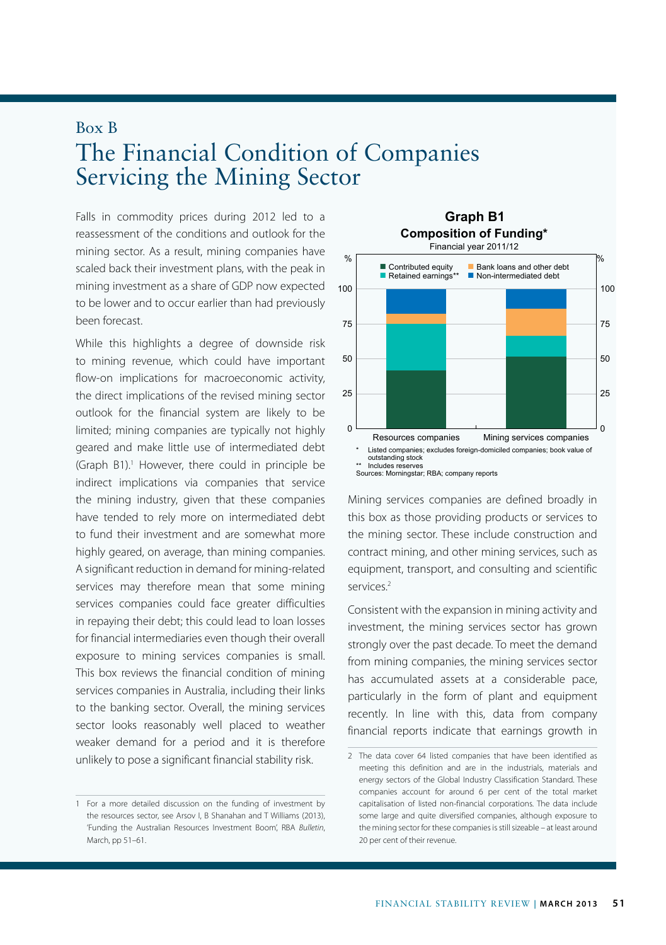## Box B The Financial Condition of Companies Servicing the Mining Sector

Falls in commodity prices during 2012 led to a **Graph B1** reassessment of the conditions and outlook for the mining sector. As a result, mining companies have scaled back their investment plans, with the peak in mining investment as a share of GDP now expected to be lower and to occur earlier than had previously been forecast.

While this highlights a degree of downside risk to mining revenue, which could have important flow-on implications for macroeconomic activity, the direct implications of the revised mining sector outlook for the financial system are likely to be limited; mining companies are typically not highly geared and make little use of intermediated debt (Graph B1).<sup>1</sup> However, there could in principle be indirect implications via companies that service the mining industry, given that these companies have tended to rely more on intermediated debt to fund their investment and are somewhat more highly geared, on average, than mining companies. A significant reduction in demand for mining-related services may therefore mean that some mining services companies could face greater difficulties in repaying their debt; this could lead to loan losses for financial intermediaries even though their overall exposure to mining services companies is small. This box reviews the financial condition of mining services companies in Australia, including their links to the banking sector. Overall, the mining services sector looks reasonably well placed to weather weaker demand for a period and it is therefore unlikely to pose a significant financial stability risk.



Mining services companies are defined broadly in this box as those providing products or services to the mining sector. These include construction and contract mining, and other mining services, such as equipment, transport, and consulting and scientific services.2

Consistent with the expansion in mining activity and investment, the mining services sector has grown strongly over the past decade. To meet the demand from mining companies, the mining services sector has accumulated assets at a considerable pace, particularly in the form of plant and equipment recently. In line with this, data from company financial reports indicate that earnings growth in

<sup>1</sup> For a more detailed discussion on the funding of investment by the resources sector, see Arsov I, B Shanahan and T Williams (2013), 'Funding the Australian Resources Investment Boom', RBA *Bulletin*, March, pp 51–61.

<sup>2</sup> The data cover 64 listed companies that have been identified as meeting this definition and are in the industrials, materials and energy sectors of the Global Industry Classification Standard. These companies account for around 6 per cent of the total market capitalisation of listed non-financial corporations. The data include some large and quite diversified companies, although exposure to the mining sector for these companies is still sizeable – at least around 20 per cent of their revenue.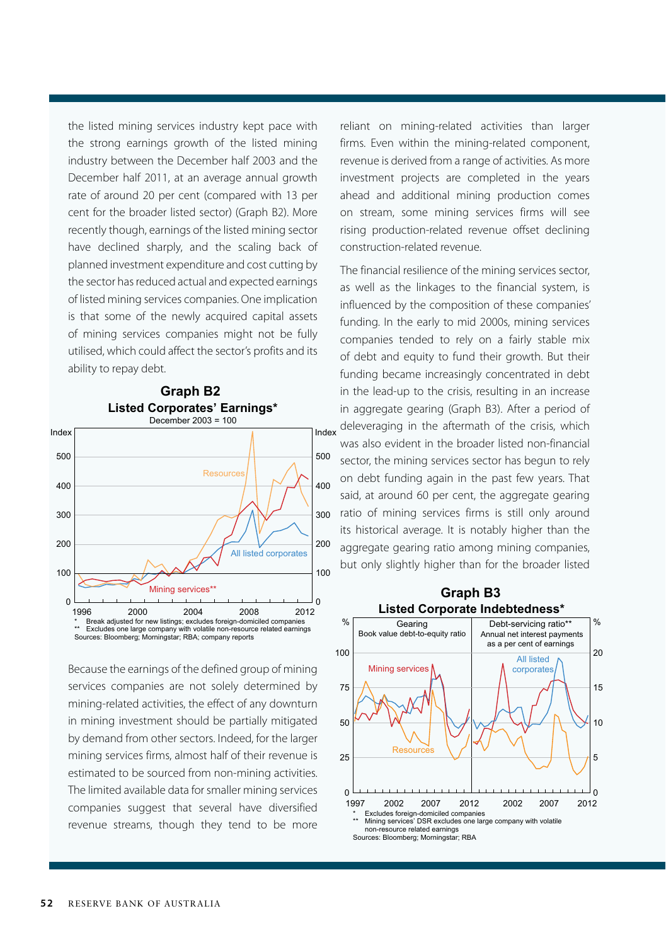the listed mining services industry kept pace with the strong earnings growth of the listed mining industry between the December half 2003 and the December half 2011, at an average annual growth rate of around 20 per cent (compared with 13 per cent for the broader listed sector) (Graph B2). More recently though, earnings of the listed mining sector have declined sharply, and the scaling back of planned investment expenditure and cost cutting by the sector has reduced actual and expected earnings of listed mining services companies. One implication is that some of the newly acquired capital assets of mining services companies might not be fully utilised, which could affect the sector's profits and its ability to repay debt.



**Graph B2**

Because the earnings of the defined group of mining services companies are not solely determined by mining-related activities, the effect of any downturn in mining investment should be partially mitigated by demand from other sectors. Indeed, for the larger mining services firms, almost half of their revenue is estimated to be sourced from non-mining activities. The limited available data for smaller mining services companies suggest that several have diversified revenue streams, though they tend to be more

reliant on mining-related activities than larger firms. Even within the mining-related component, revenue is derived from a range of activities. As more investment projects are completed in the years ahead and additional mining production comes on stream, some mining services firms will see rising production-related revenue offset declining construction-related revenue.

The financial resilience of the mining services sector, as well as the linkages to the financial system, is influenced by the composition of these companies' funding. In the early to mid 2000s, mining services companies tended to rely on a fairly stable mix of debt and equity to fund their growth. But their funding became increasingly concentrated in debt in the lead-up to the crisis, resulting in an increase in aggregate gearing (Graph B3). After a period of deleveraging in the aftermath of the crisis, which was also evident in the broader listed non-financial sector, the mining services sector has begun to rely on debt funding again in the past few years. That said, at around 60 per cent, the aggregate gearing ratio of mining services firms is still only around its historical average. It is notably higher than the aggregate gearing ratio among mining companies, but only slightly higher than for the broader listed



**52** Reserve bank of Australia